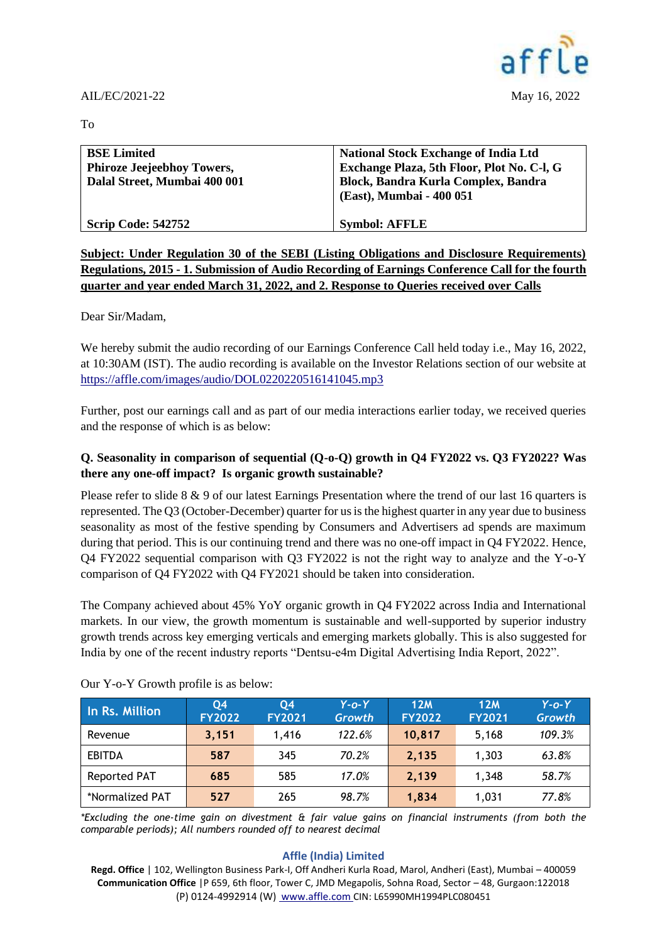

To

| <b>BSE Limited</b><br><b>Phiroze Jeejeebhoy Towers,</b><br>Dalal Street, Mumbai 400 001 | <b>National Stock Exchange of India Ltd</b><br>Exchange Plaza, 5th Floor, Plot No. C-I, G<br>Block, Bandra Kurla Complex, Bandra<br>(East), Mumbai - 400 051 |
|-----------------------------------------------------------------------------------------|--------------------------------------------------------------------------------------------------------------------------------------------------------------|
| <b>Scrip Code: 542752</b>                                                               | <b>Symbol: AFFLE</b>                                                                                                                                         |

**Subject: Under Regulation 30 of the SEBI (Listing Obligations and Disclosure Requirements) Regulations, 2015 - 1. Submission of Audio Recording of Earnings Conference Call for the fourth quarter and year ended March 31, 2022, and 2. Response to Queries received over Calls** 

Dear Sir/Madam,

We hereby submit the audio recording of our Earnings Conference Call held today i.e., May 16, 2022, at 10:30AM (IST). The audio recording is available on the Investor Relations section of our website at <https://affle.com/images/audio/DOL0220220516141045.mp3>

Further, post our earnings call and as part of our media interactions earlier today, we received queries and the response of which is as below:

## **Q. Seasonality in comparison of sequential (Q-o-Q) growth in Q4 FY2022 vs. Q3 FY2022? Was there any one-off impact? Is organic growth sustainable?**

Please refer to slide 8 & 9 of our latest Earnings Presentation where the trend of our last 16 quarters is represented. The Q3 (October-December) quarter for us is the highest quarter in any year due to business seasonality as most of the festive spending by Consumers and Advertisers ad spends are maximum during that period. This is our continuing trend and there was no one-off impact in Q4 FY2022. Hence, Q4 FY2022 sequential comparison with Q3 FY2022 is not the right way to analyze and the Y-o-Y comparison of Q4 FY2022 with Q4 FY2021 should be taken into consideration.

The Company achieved about 45% YoY organic growth in Q4 FY2022 across India and International markets. In our view, the growth momentum is sustainable and well-supported by superior industry growth trends across key emerging verticals and emerging markets globally. This is also suggested for India by one of the recent industry reports "Dentsu-e4m Digital Advertising India Report, 2022".

| In Rs. Million  | 04<br><b>FY2022</b> | 04<br><b>FY2021</b> | $Y$ -o- $Y$<br><b>Growth</b> | 12M<br><b>FY2022</b> | 12M<br><b>FY2021</b> | $Y$ -o- $Y$<br>Growth |
|-----------------|---------------------|---------------------|------------------------------|----------------------|----------------------|-----------------------|
| Revenue         | 3,151               | 1.416               | 122.6%                       | 10,817               | 5.168                | 109.3%                |
| <b>EBITDA</b>   | 587                 | 345                 | 70.2%                        | 2,135                | 1,303                | 63.8%                 |
| Reported PAT    | 685                 | 585                 | 17.0%                        | 2,139                | 1,348                | 58.7%                 |
| *Normalized PAT | 527                 | 265                 | 98.7%                        | 1,834                | 1,031                | 77.8%                 |

Our Y-o-Y Growth profile is as below:

*\*Excluding the one-time gain on divestment & fair value gains on financial instruments (from both the comparable periods); All numbers rounded off to nearest decimal*

## **Affle (India) Limited**

**Regd. Office** | 102, Wellington Business Park-I, Off Andheri Kurla Road, Marol, Andheri (East), Mumbai – 400059 **Communication Office** |P 659, 6th floor, Tower C, JMD Megapolis, Sohna Road, Sector – 48, Gurgaon:122018 (P) 0124-4992914 (W) [www.affle.com](http://www.affle.com/) CIN: L65990MH1994PLC080451